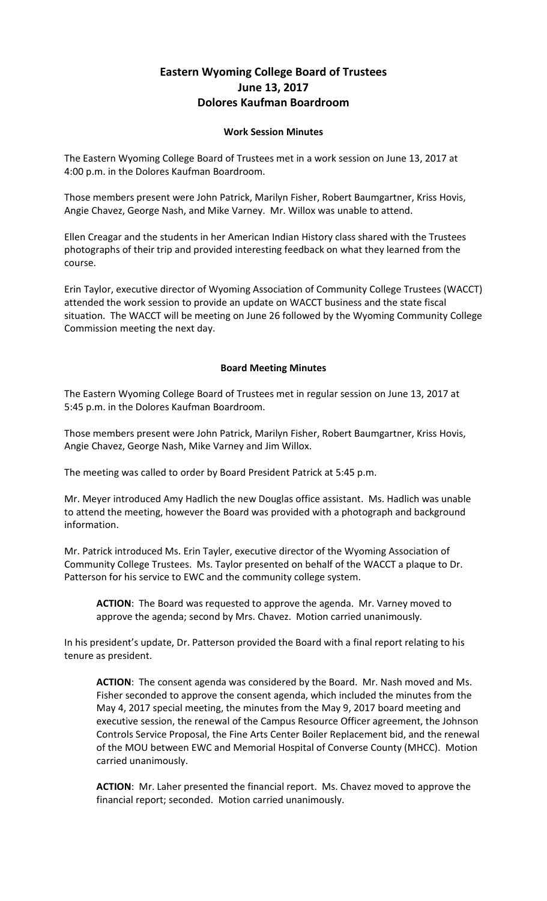## **Eastern Wyoming College Board of Trustees June 13, 2017 Dolores Kaufman Boardroom**

## **Work Session Minutes**

The Eastern Wyoming College Board of Trustees met in a work session on June 13, 2017 at 4:00 p.m. in the Dolores Kaufman Boardroom.

Those members present were John Patrick, Marilyn Fisher, Robert Baumgartner, Kriss Hovis, Angie Chavez, George Nash, and Mike Varney. Mr. Willox was unable to attend.

Ellen Creagar and the students in her American Indian History class shared with the Trustees photographs of their trip and provided interesting feedback on what they learned from the course.

Erin Taylor, executive director of Wyoming Association of Community College Trustees (WACCT) attended the work session to provide an update on WACCT business and the state fiscal situation. The WACCT will be meeting on June 26 followed by the Wyoming Community College Commission meeting the next day.

## **Board Meeting Minutes**

The Eastern Wyoming College Board of Trustees met in regular session on June 13, 2017 at 5:45 p.m. in the Dolores Kaufman Boardroom.

Those members present were John Patrick, Marilyn Fisher, Robert Baumgartner, Kriss Hovis, Angie Chavez, George Nash, Mike Varney and Jim Willox.

The meeting was called to order by Board President Patrick at 5:45 p.m.

Mr. Meyer introduced Amy Hadlich the new Douglas office assistant. Ms. Hadlich was unable to attend the meeting, however the Board was provided with a photograph and background information.

Mr. Patrick introduced Ms. Erin Tayler, executive director of the Wyoming Association of Community College Trustees. Ms. Taylor presented on behalf of the WACCT a plaque to Dr. Patterson for his service to EWC and the community college system.

**ACTION**: The Board was requested to approve the agenda. Mr. Varney moved to approve the agenda; second by Mrs. Chavez. Motion carried unanimously.

In his president's update, Dr. Patterson provided the Board with a final report relating to his tenure as president.

**ACTION**: The consent agenda was considered by the Board. Mr. Nash moved and Ms. Fisher seconded to approve the consent agenda, which included the minutes from the May 4, 2017 special meeting, the minutes from the May 9, 2017 board meeting and executive session, the renewal of the Campus Resource Officer agreement, the Johnson Controls Service Proposal, the Fine Arts Center Boiler Replacement bid, and the renewal of the MOU between EWC and Memorial Hospital of Converse County (MHCC). Motion carried unanimously.

**ACTION**: Mr. Laher presented the financial report. Ms. Chavez moved to approve the financial report; seconded. Motion carried unanimously.